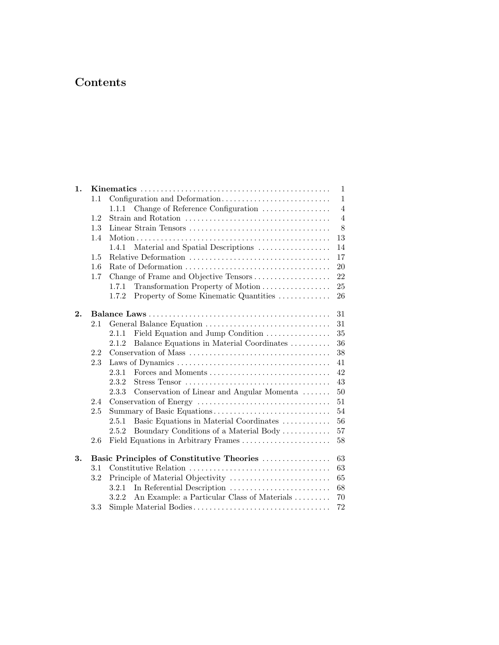## Contents

| 1. |         |                                                      |                     |  |  |
|----|---------|------------------------------------------------------|---------------------|--|--|
|    | 1.1     |                                                      | $\mathbf{1}$        |  |  |
|    |         | Change of Reference Configuration<br>1.1.1           | $\overline{4}$      |  |  |
|    | 1.2     |                                                      | $\overline{4}$<br>8 |  |  |
|    | 1.3     |                                                      |                     |  |  |
|    | 1.4     |                                                      |                     |  |  |
|    |         | Material and Spatial Descriptions<br>1.4.1           | 14                  |  |  |
|    | 1.5     |                                                      | 17                  |  |  |
|    | 1.6     |                                                      | 20                  |  |  |
|    | $1.7\,$ | Change of Frame and Objective Tensors                | 22                  |  |  |
|    |         | Transformation Property of Motion<br>1.7.1           | 25                  |  |  |
|    |         | 1.7.2<br>Property of Some Kinematic Quantities       | 26                  |  |  |
| 2. |         |                                                      | 31                  |  |  |
|    | 2.1     | General Balance Equation                             | 31                  |  |  |
|    |         | Field Equation and Jump Condition<br>2.1.1           | 35                  |  |  |
|    |         | 2.1.2<br>Balance Equations in Material Coordinates   | 36                  |  |  |
|    | 2.2     |                                                      | 38                  |  |  |
|    | 2.3     |                                                      | 41                  |  |  |
|    |         | Forces and Moments<br>2.3.1                          | 42                  |  |  |
|    |         | 2.3.2                                                | 43                  |  |  |
|    |         | 2.3.3<br>Conservation of Linear and Angular Momenta  | 50                  |  |  |
|    | 2.4     |                                                      | 51                  |  |  |
|    | 2.5     | Summary of Basic Equations                           | 54                  |  |  |
|    |         | Basic Equations in Material Coordinates<br>2.5.1     | 56                  |  |  |
|    |         | 2.5.2<br>Boundary Conditions of a Material Body      | 57                  |  |  |
|    | $2.6\,$ | Field Equations in Arbitrary Frames                  | $58\,$              |  |  |
| 3. |         | Basic Principles of Constitutive Theories            | 63                  |  |  |
|    | 3.1     |                                                      | 63                  |  |  |
|    | 3.2     |                                                      | 65                  |  |  |
|    |         | In Referential Description<br>3.2.1                  | 68                  |  |  |
|    |         | An Example: a Particular Class of Materials<br>3.2.2 | 70                  |  |  |
|    | 3.3     |                                                      | 72                  |  |  |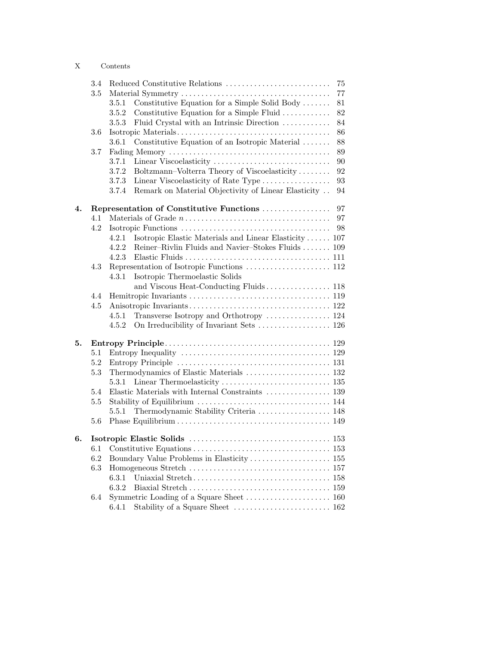|                    | 3.4     | Reduced Constitutive Relations                                      |        |  |  |  |
|--------------------|---------|---------------------------------------------------------------------|--------|--|--|--|
|                    | 3.5     |                                                                     | $77\,$ |  |  |  |
|                    |         | Constitutive Equation for a Simple Solid Body $\dots\dots$<br>3.5.1 | 81     |  |  |  |
|                    |         | 3.5.2<br>Constitutive Equation for a Simple Fluid                   | 82     |  |  |  |
|                    |         | Fluid Crystal with an Intrinsic Direction<br>3.5.3                  | 84     |  |  |  |
|                    | 3.6     |                                                                     | 86     |  |  |  |
|                    |         | 3.6.1<br>Constitutive Equation of an Isotropic Material             | 88     |  |  |  |
|                    | 3.7     |                                                                     | $89\,$ |  |  |  |
|                    |         | Linear Viscoelasticity<br>3.7.1                                     | 90     |  |  |  |
|                    |         | Boltzmann–Volterra Theory of Viscoelasticity<br>3.7.2               | 92     |  |  |  |
|                    |         | Linear Viscoelasticity of Rate Type<br>3.7.3                        | 93     |  |  |  |
|                    |         | Remark on Material Objectivity of Linear Elasticity<br>3.7.4        | 94     |  |  |  |
| $\boldsymbol{4}$ . |         | Representation of Constitutive Functions<br>97                      |        |  |  |  |
|                    | 4.1     |                                                                     | 97     |  |  |  |
|                    | 4.2     |                                                                     | 98     |  |  |  |
|                    |         | Isotropic Elastic Materials and Linear Elasticity  107<br>4.2.1     |        |  |  |  |
|                    |         | Reiner-Rivlin Fluids and Navier-Stokes Fluids  109<br>4.2.2         |        |  |  |  |
|                    |         | 4.2.3                                                               |        |  |  |  |
|                    | 4.3     |                                                                     |        |  |  |  |
|                    |         | Isotropic Thermoelastic Solids<br>4.3.1                             |        |  |  |  |
|                    |         |                                                                     |        |  |  |  |
|                    | 4.4     |                                                                     |        |  |  |  |
|                    | 4.5     |                                                                     |        |  |  |  |
|                    |         | 4.5.1                                                               |        |  |  |  |
|                    |         | 4.5.2                                                               |        |  |  |  |
| 5.                 |         |                                                                     |        |  |  |  |
|                    | 5.1     |                                                                     |        |  |  |  |
|                    | 5.2     |                                                                     |        |  |  |  |
|                    | $5.3\,$ |                                                                     |        |  |  |  |
|                    |         | 5.3.1                                                               |        |  |  |  |
|                    | 5.4     |                                                                     |        |  |  |  |
|                    | 5.5     |                                                                     |        |  |  |  |
|                    |         | Thermodynamic Stability Criteria  148<br>5.5.1                      |        |  |  |  |
|                    | 5.6     |                                                                     |        |  |  |  |
| 6.                 |         |                                                                     |        |  |  |  |
|                    | 6.1     |                                                                     |        |  |  |  |
|                    | 6.2     |                                                                     |        |  |  |  |
|                    | $6.3\,$ |                                                                     |        |  |  |  |
|                    |         | 6.3.1                                                               |        |  |  |  |
|                    |         | 6.3.2                                                               |        |  |  |  |
|                    | 6.4     |                                                                     |        |  |  |  |
|                    |         | 6.4.1                                                               |        |  |  |  |
|                    |         |                                                                     |        |  |  |  |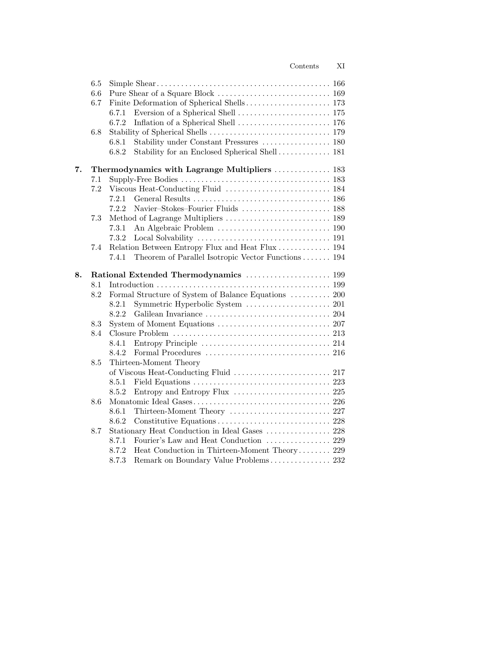|    | 6.5 |       |                                                      |
|----|-----|-------|------------------------------------------------------|
|    | 6.6 |       |                                                      |
|    | 6.7 |       |                                                      |
|    |     | 6.7.1 |                                                      |
|    |     | 6.7.2 |                                                      |
|    | 6.8 |       |                                                      |
|    |     | 6.8.1 | Stability under Constant Pressures  180              |
|    |     | 6.8.2 |                                                      |
| 7. |     |       | Thermodynamics with Lagrange Multipliers  183        |
|    | 7.1 |       |                                                      |
|    | 7.2 |       |                                                      |
|    |     | 7.2.1 |                                                      |
|    |     | 7.2.2 |                                                      |
|    | 7.3 |       |                                                      |
|    |     | 7.3.1 |                                                      |
|    |     | 7.3.2 |                                                      |
|    | 7.4 |       | Relation Between Entropy Flux and Heat Flux  194     |
|    |     | 7.4.1 | Theorem of Parallel Isotropic Vector Functions 194   |
| 8. |     |       | Rational Extended Thermodynamics  199                |
|    | 8.1 |       |                                                      |
|    | 8.2 |       | Formal Structure of System of Balance Equations  200 |
|    |     | 8.2.1 |                                                      |
|    |     | 8.2.2 |                                                      |
|    | 8.3 |       |                                                      |
|    | 8.4 |       |                                                      |
|    |     | 8.4.1 |                                                      |
|    |     | 8.4.2 |                                                      |
|    | 8.5 |       | Thirteen-Moment Theory                               |
|    |     |       |                                                      |
|    |     | 8.5.1 |                                                      |
|    |     | 8.5.2 | Entropy and Entropy Flux  225                        |
|    | 8.6 |       |                                                      |
|    |     | 8.6.1 | Thirteen-Moment Theory  227                          |
|    |     | 8.6.2 |                                                      |
|    | 8.7 |       | Stationary Heat Conduction in Ideal Gases  228       |
|    |     | 8.7.1 | Fourier's Law and Heat Conduction  229               |
|    |     | 8.7.2 | Heat Conduction in Thirteen-Moment Theory 229        |
|    |     | 8.7.3 | Remark on Boundary Value Problems 232                |

Contents XI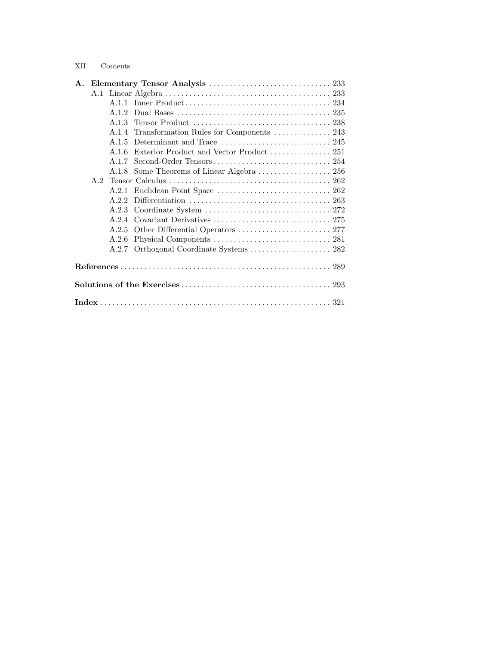## XII Contents

|  |  | A.1.2 |                                                |  |  |  |
|--|--|-------|------------------------------------------------|--|--|--|
|  |  |       |                                                |  |  |  |
|  |  |       | A.1.4 Transformation Rules for Components  243 |  |  |  |
|  |  | A.1.5 |                                                |  |  |  |
|  |  | A.1.6 |                                                |  |  |  |
|  |  | A.1.7 |                                                |  |  |  |
|  |  |       |                                                |  |  |  |
|  |  |       |                                                |  |  |  |
|  |  | A.2.1 |                                                |  |  |  |
|  |  | A.2.2 |                                                |  |  |  |
|  |  | A.2.3 |                                                |  |  |  |
|  |  |       |                                                |  |  |  |
|  |  |       |                                                |  |  |  |
|  |  | A.2.6 |                                                |  |  |  |
|  |  | A.2.7 |                                                |  |  |  |
|  |  |       |                                                |  |  |  |
|  |  |       |                                                |  |  |  |
|  |  |       |                                                |  |  |  |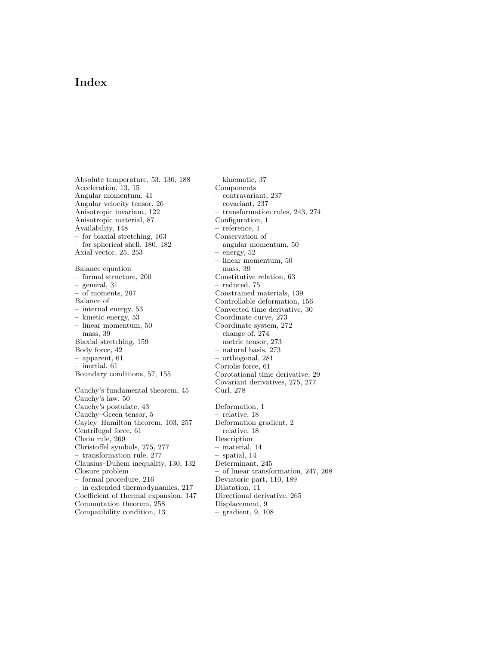## Index

Absolute temperature, 53, 130, 188 Acceleration, 13, 15 Angular momentum, 41 Angular velocity tensor, 26 Anisotropic invariant, 122 Anisotropic material, 87 Availability, 148 – for biaxial stretching, 163 – for spherical shell, 180, 182 Axial vector, 25, 253 Balance equation – formal structure, 200 – general, 31 of moments, 207 Balance of – internal energy, 53 – kinetic energy, 53 – linear momentum, 50 – mass, 39 Biaxial stretching, 159 Body force, 42 – apparent, 61 – inertial, 61 Boundary conditions, 57, 155 Cauchy's fundamental theorem, 45 Cauchy's law, 50 Cauchy's postulate, 43 Cauchy–Green tensor, 5 Cayley–Hamilton theorem, 103, 257 Centrifugal force, 61 Chain rule, 269 Christoffel symbols, 275, 277 transformation rule, 277 Clausius–Duhem inequality, 130, 132 Closure problem – formal procedure, 216 – in extended thermodynamics, 217 Coefficient of thermal expansion, 147 Commutation theorem, 258 Compatibility condition, 13

– kinematic, 37 Components – contravariant, 237 – covariant, 237 – transformation rules, 243, 274 Configuration, 1 – reference, 1 Conservation of – angular momentum, 50 – energy, 52 – linear momentum, 50 – mass, 39 Constitutive relation, 63 – reduced, 75 Constrained materials, 139 Controllable deformation, 156 Convected time derivative, 30 Coordinate curve, 273 Coordinate system, 272 – change of, 274 – metric tensor, 273 – natural basis, 273 – orthogonal, 281 Coriolis force, 61 Corotational time derivative, 29 Covariant derivatives, 275, 277 Curl, 278 Deformation, 1 – relative, 18 Deformation gradient, 2 – relative, 18 Description – material, 14 – spatial, 14 Determinant, 245 – of linear transformation, 247, 268 Deviatoric part, 110, 189 Dilatation, 11 Directional derivative, 265 Displacement, 9 – gradient, 9, 108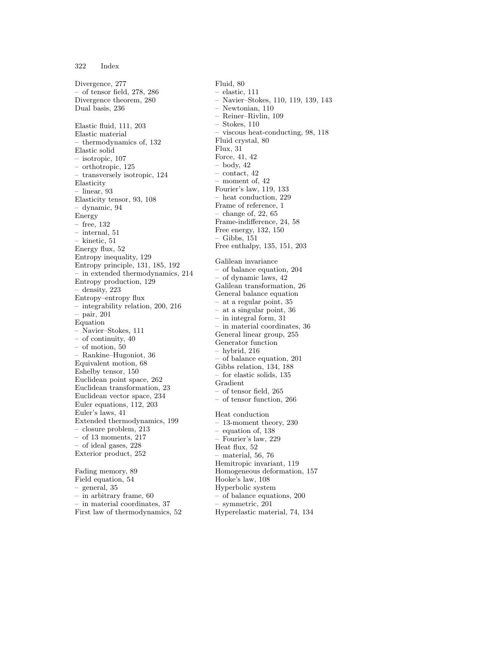Divergence, 277 – of tensor field, 278, 286 Divergence theorem, 280 Dual basis, 236 Elastic fluid, 111, 203 Elastic material thermodynamics of, 132 Elastic solid – isotropic, 107 – orthotropic, 125 – transversely isotropic, 124 Elasticity – linear, 93 Elasticity tensor, 93, 108 – dynamic, 94 Energy – free, 132 – internal, 51 – kinetic, 51 Energy flux, 52 Entropy inequality, 129 Entropy principle, 131, 185, 192 – in extended thermodynamics, 214 Entropy production, 129 density, 223 Entropy–entropy flux – integrability relation, 200, 216 – pair, 201 Equation – Navier–Stokes, 111 – of continuity, 40 – of motion, 50 – Rankine–Hugoniot, 36 Equivalent motion, 68 Eshelby tensor, 150 Euclidean point space, 262 Euclidean transformation, 23 Euclidean vector space, 234 Euler equations, 112, 203 Euler's laws, 41 Extended thermodynamics, 199 – closure problem, 213 – of 13 moments, 217 – of ideal gases, 228 Exterior product, 252 Fading memory, 89 Field equation, 54 – general, 35

– in arbitrary frame, 60 – in material coordinates, 37 First law of thermodynamics, 52 Fluid, 80 – elastic, 111 – Navier–Stokes, 110, 119, 139, 143 – Newtonian, 110 – Reiner–Rivlin, 109 – Stokes, 110 – viscous heat-conducting, 98, 118 Fluid crystal, 80 Flux, 31 Force, 41, 42  $-$  body,  $42$ – contact, 42 – moment of, 42 Fourier's law, 119, 133 heat conduction, 229 Frame of reference, 1 – change of, 22, 65 Frame-indifference, 24, 58 Free energy, 132, 150 – Gibbs, 151 Free enthalpy, 135, 151, 203 Galilean invariance – of balance equation, 204 – of dynamic laws, 42 Galilean transformation, 26 General balance equation – at a regular point, 35 – at a singular point, 36 – in integral form, 31 in material coordinates, 36 General linear group, 255 Generator function – hybrid, 216 – of balance equation, 201 Gibbs relation, 134, 188 – for elastic solids, 135 Gradient – of tensor field, 265 – of tensor function, 266 Heat conduction – 13-moment theory, 230 – equation of, 138 – Fourier's law, 229 Heat flux, 52 – material, 56, 76 Hemitropic invariant, 119 Homogeneous deformation, 157 Hooke's law, 108 Hyperbolic system – of balance equations, 200 symmetric, 201 Hyperelastic material, 74, 134

322 Index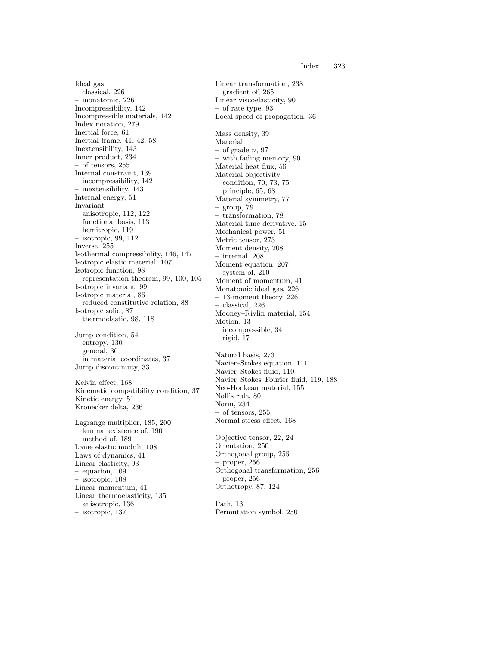Ideal gas – classical, 226 – monatomic, 226 Incompressibility, 142 Incompressible materials, 142 Index notation, 279 Inertial force, 61 Inertial frame, 41, 42, 58 Inextensibility, 143 Inner product, 234 – of tensors, 255 Internal constraint, 139 – incompressibility, 142 – inextensibility, 143 Internal energy, 51 Invariant – anisotropic, 112, 122 – functional basis, 113 – hemitropic, 119 – isotropic, 99, 112 Inverse, 255 Isothermal compressibility, 146, 147 Isotropic elastic material, 107 Isotropic function, 98 – representation theorem, 99, 100, 105 Isotropic invariant, 99 Isotropic material, 86 – reduced constitutive relation, 88 Isotropic solid, 87 – thermoelastic, 98, 118

Jump condition, 54 – entropy, 130 – general, 36 – in material coordinates, 37 Jump discontinuity, 33

Kelvin effect, 168 Kinematic compatibility condition, 37 Kinetic energy, 51 Kronecker delta, 236

Lagrange multiplier, 185, 200 – lemma, existence of, 190 – method of, 189 Lamé elastic moduli, 108 Laws of dynamics, 41 Linear elasticity, 93 – equation, 109 – isotropic, 108 Linear momentum, 41 Linear thermoelasticity, 135 – anisotropic, 136 – isotropic, 137

Linear transformation, 238 – gradient of, 265 Linear viscoelasticity, 90 – of rate type, 93 Local speed of propagation, 36 Mass density, 39 Material  $-$  of grade n, 97 – with fading memory, 90 Material heat flux, 56 Material objectivity – condition, 70, 73, 75 – principle, 65, 68 Material symmetry, 77  $-$  group, 79 – transformation, 78 Material time derivative, 15 Mechanical power, 51 Metric tensor, 273 Moment density, 208 – internal, 208 Moment equation, 207 – system of, 210 Moment of momentum, 41 Monatomic ideal gas, 226 – 13-moment theory, 226 – classical, 226 Mooney–Rivlin material, 154 Motion, 13 – incompressible, 34  $-$  rigid, 17 Natural basis, 273 Navier–Stokes equation, 111 Navier–Stokes fluid, 110 Navier–Stokes–Fourier fluid, 119, 188 Neo-Hookean material, 155 Noll's rule, 80 Norm, 234 – of tensors, 255 Normal stress effect, 168 Objective tensor, 22, 24 Orientation, 250 Orthogonal group, 256 – proper, 256 Orthogonal transformation, 256 – proper, 256 Orthotropy, 87, 124 Path, 13

Permutation symbol, 250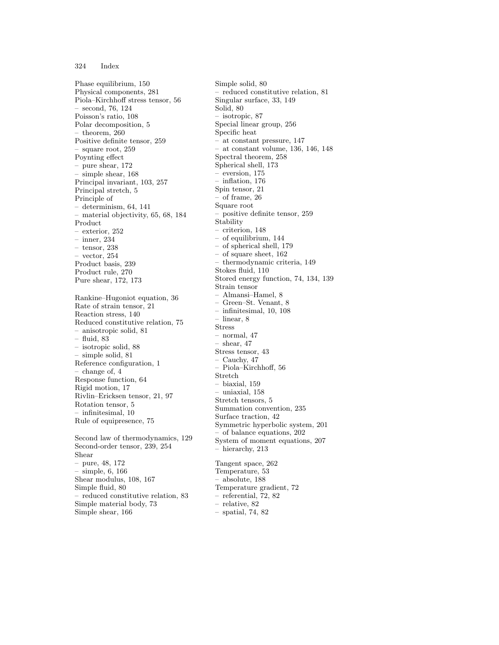## 324 Index

Phase equilibrium, 150 Physical components, 281 Piola–Kirchhoff stress tensor, 56 – second, 76, 124 Poisson's ratio, 108 Polar decomposition, 5 theorem, 260 Positive definite tensor, 259 – square root, 259 Poynting effect – pure shear, 172 – simple shear, 168 Principal invariant, 103, 257 Principal stretch, 5 Principle of – determinism, 64, 141 – material objectivity, 65, 68, 184 Product – exterior, 252 – inner, 234 – tensor, 238  $-$  vector, 254 Product basis, 239 Product rule, 270 Pure shear, 172, 173

Rankine–Hugoniot equation, 36 Rate of strain tensor, 21 Reaction stress, 140 Reduced constitutive relation, 75 – anisotropic solid, 81 – fluid, 83 – isotropic solid, 88 – simple solid, 81 Reference configuration, 1 – change of, 4 Response function, 64 Rigid motion, 17 Rivlin–Ericksen tensor, 21, 97 Rotation tensor, 5 – infinitesimal, 10 Rule of equipresence, 75 Second law of thermodynamics, 129

Second-order tensor, 239, 254 Shear – pure, 48, 172 – simple, 6, 166 Shear modulus, 108, 167 Simple fluid, 80 – reduced constitutive relation, 83 Simple material body, 73 Simple shear, 166

Simple solid, 80 – reduced constitutive relation, 81 Singular surface, 33, 149 Solid, 80 isotropic, 87 Special linear group, 256 Specific heat – at constant pressure, 147 – at constant volume, 136, 146, 148 Spectral theorem, 258 Spherical shell, 173 – eversion, 175 – inflation, 176 Spin tensor, 21 – of frame, 26 Square root – positive definite tensor, 259 Stability – criterion, 148 – of equilibrium, 144 – of spherical shell, 179 – of square sheet, 162 – thermodynamic criteria, 149 Stokes fluid, 110 Stored energy function, 74, 134, 139 Strain tensor – Almansi–Hamel, 8 – Green–St. Venant, 8 – infinitesimal, 10, 108 – linear, 8 Stress normal, 47 shear,  $47$ Stress tensor, 43 Cauchy,  $47$ – Piola–Kirchhoff, 56 Stretch – biaxial, 159 – uniaxial, 158 Stretch tensors, 5 Summation convention, 235 Surface traction, 42 Symmetric hyperbolic system, 201 – of balance equations, 202 System of moment equations, 207 – hierarchy, 213 Tangent space, 262 Temperature, 53 – absolute, 188 Temperature gradient, 72 – referential, 72, 82 – relative, 82 – spatial, 74, 82